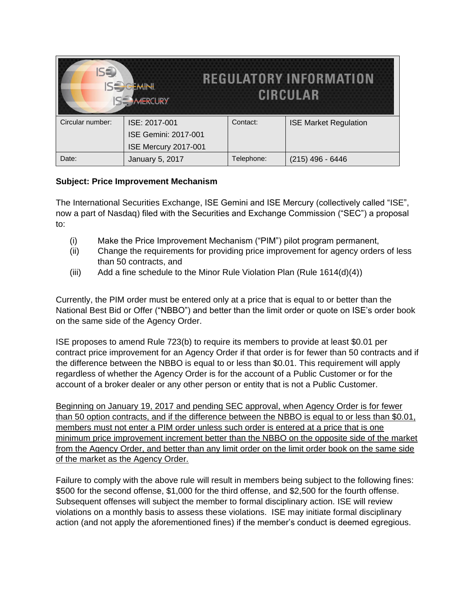| IS <sup>2</sup>  | <b>REGULATORY INFORMATION</b><br><b>IS<sup>O</sup>GEMINI</b><br><b>CIRCULAR</b><br>MERCURY |            |                              |
|------------------|--------------------------------------------------------------------------------------------|------------|------------------------------|
| Circular number: | ISE: 2017-001                                                                              | Contact:   | <b>ISE Market Regulation</b> |
|                  | ISE Gemini: 2017-001                                                                       |            |                              |
|                  | <b>ISE Mercury 2017-001</b>                                                                |            |                              |
| Date:            | January 5, 2017                                                                            | Telephone: | $(215)$ 496 - 6446           |

## **Subject: Price Improvement Mechanism**

The International Securities Exchange, ISE Gemini and ISE Mercury (collectively called "ISE", now a part of Nasdaq) filed with the Securities and Exchange Commission ("SEC") a proposal to:

- (i) Make the Price Improvement Mechanism ("PIM") pilot program permanent,
- (ii) Change the requirements for providing price improvement for agency orders of less than 50 contracts, and
- (iii) Add a fine schedule to the Minor Rule Violation Plan (Rule  $1614(d)(4)$ )

Currently, the PIM order must be entered only at a price that is equal to or better than the National Best Bid or Offer ("NBBO") and better than the limit order or quote on ISE's order book on the same side of the Agency Order.

ISE proposes to amend Rule 723(b) to require its members to provide at least \$0.01 per contract price improvement for an Agency Order if that order is for fewer than 50 contracts and if the difference between the NBBO is equal to or less than \$0.01. This requirement will apply regardless of whether the Agency Order is for the account of a Public Customer or for the account of a broker dealer or any other person or entity that is not a Public Customer.

Beginning on January 19, 2017 and pending SEC approval, when Agency Order is for fewer than 50 option contracts, and if the difference between the NBBO is equal to or less than \$0.01, members must not enter a PIM order unless such order is entered at a price that is one minimum price improvement increment better than the NBBO on the opposite side of the market from the Agency Order, and better than any limit order on the limit order book on the same side of the market as the Agency Order.

Failure to comply with the above rule will result in members being subject to the following fines: \$500 for the second offense, \$1,000 for the third offense, and \$2,500 for the fourth offense. Subsequent offenses will subject the member to formal disciplinary action. ISE will review violations on a monthly basis to assess these violations. ISE may initiate formal disciplinary action (and not apply the aforementioned fines) if the member's conduct is deemed egregious.